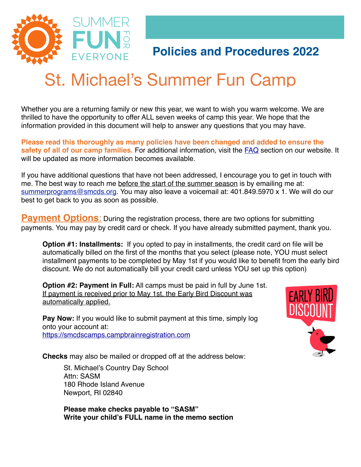

# **Policies and Procedures 2022**

## St Michael's St. Michael's Summer Fun Camp

Whether you are a returning family or new this year, we want to wish you warm welcome. We are thrilled to have the opportunity to offer ALL seven weeks of camp this year. We hope that the information provided in this document will help to answer any questions that you may have.

**Please read this thoroughly as many policies have been changed and added to ensure the safety of all of our camp families.** For additional information, visit the [FAQ](https://smcds.org/summer/summer-camp-at-st-michaels/summer-fun-camp-faqs/) section on our website. It will be updated as more information becomes available.

If you have additional questions that have not been addressed, I encourage you to get in touch with me. The best way to reach me before the start of the summer season is by emailing me at: [summerprograms@smcds.org.](mailto:summerprograms@smcds.org) You may also leave a voicemail at: 401.849.5970 x 1. We will do our best to get back to you as soon as possible.

**Payment Options:** During the registration process, there are two options for submitting payments. You may pay by credit card or check. If you have already submitted payment, thank you.

**Option #1: Installments:** If you opted to pay in installments, the credit card on file will be automatically billed on the first of the months that you select (please note, YOU must select installment payments to be completed by May 1st if you would like to benefit from the early bird discount. We do not automatically bill your credit card unless YOU set up this option)

**Option #2: Payment in Full:** All camps must be paid in full by June 1st. If payment is received prior to May 1st, the Early Bird Discount was automatically applied.

**Pay Now:** If you would like to submit payment at this time, simply log onto your account at: <https://smcdscamps.campbrainregistration.com>

**Checks** may also be mailed or dropped off at the address below:

St. Michael's Country Day School Attn: SASM 180 Rhode Island Avenue Newport, RI 02840

**Please make checks payable to "SASM" Write your child's FULL name in the memo section** 

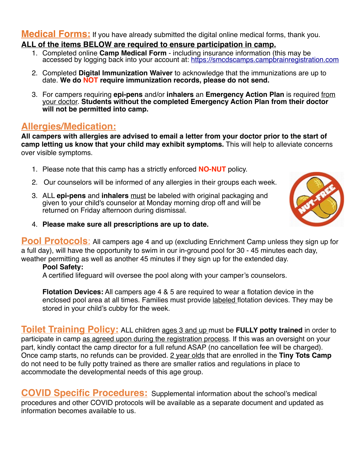**Medical Forms:** If you have already submitted the digital online medical forms, thank you.

#### **ALL of the items BELOW are required to ensure participation in camp.**

- 1. Completed online **Camp Medical Form** inclu[ding insurance information \(this may be](https://smcdscamps.campbrainregistration.com) accessed by logging back into your account at:<https://smcdscamps.campbrainregistration.com>
- 2. Completed **Digital Immunization Waiver** to acknowledge that the immunizations are up to date. **We do NOT require immunization records, please do not send.**
- 3. For campers requiring **epi-pens** and/or **inhalers** an **Emergency Action Plan** is required from your doctor. **Students without the completed Emergency Action Plan from their doctor will not be permitted into camp.**

## **Allergies/Medication:**

**All campers with allergies are advised to email a letter from your doctor prior to the start of camp letting us know that your child may exhibit symptoms.** This will help to alleviate concerns over visible symptoms.

- 1. Please note that this camp has a strictly enforced **NO-NUT** policy.
- 2. Our counselors will be informed of any allergies in their groups each week.
- 3. ALL **epi-pens** and **inhalers** must be labeled with original packaging and given to your child's counselor at Monday morning drop off and will be returned on Friday afternoon during dismissal.



4. **Please make sure all prescriptions are up to date.**

**Pool Protocols**: All campers age 4 and up (excluding Enrichment Camp unless they sign up for a full day), will have the opportunity to swim in our in-ground pool for 30 - 45 minutes each day, weather permitting as well as another 45 minutes if they sign up for the extended day.

#### **Pool Safety:**

A certified lifeguard will oversee the pool along with your camper's counselors.

**Flotation Devices:** All campers age 4 & 5 are required to wear a flotation device in the enclosed pool area at all times. Families must provide labeled flotation devices. They may be stored in your child's cubby for the week.

**Toilet Training Policy:** ALL children ages 3 and up must be FULLY potty trained in order to participate in camp as agreed upon during the registration process. If this was an oversight on your part, kindly contact the camp director for a full refund ASAP (no cancellation fee will be charged). Once camp starts, no refunds can be provided. 2 year olds that are enrolled in the **Tiny Tots Camp** do not need to be fully potty trained as there are smaller ratios and regulations in place to accommodate the developmental needs of this age group.

**COVID Specific Procedures:** Supplemental information about the school's medical procedures and other COVID protocols will be available as a separate document and updated as information becomes available to us.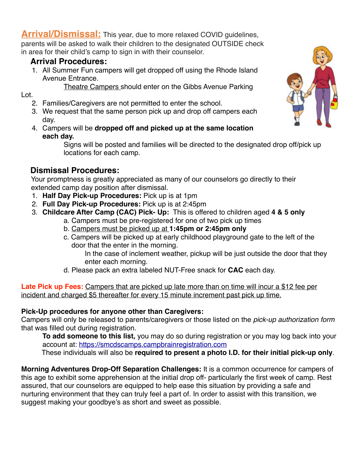**Arrival/Dismissal:** This year, due to more relaxed COVID guidelines, parents will be asked to walk their children to the designated OUTSIDE check in area for their child's camp to sign in with their counselor.

### **Arrival Procedures:**

1. All Summer Fun campers will get dropped off using the Rhode Island Avenue Entrance.

Theatre Campers should enter on the Gibbs Avenue Parking

#### Lot.

- 2. Families/Caregivers are not permitted to enter the school.
- 3. We request that the same person pick up and drop off campers each day.
- 4. Campers will be **dropped off and picked up at the same location each day.**

Signs will be posted and families will be directed to the designated drop off/pick up locations for each camp.

## **Dismissal Procedures:**

 Your promptness is greatly appreciated as many of our counselors go directly to their extended camp day position after dismissal.

- 1. **Half Day Pick-up Procedures:** Pick up is at 1pm
- 2. **Full Day Pick-up Procedures:** Pick up is at 2:45pm
- 3. **Childcare After Camp (CAC) Pick- Up:** This is offered to children aged **4 & 5 only**
	- a. Campers must be pre-registered for one of two pick up times
		- b. Campers must be picked up at **1:45pm or 2:45pm only**
		- c. Campers will be picked up at early childhood playground gate to the left of the door that the enter in the morning.
			- In the case of inclement weather, pickup will be just outside the door that they enter each morning.
		- d. Please pack an extra labeled NUT-Free snack for **CAC** each day.

**Late Pick up Fees:** Campers that are picked up late more than on time will incur a \$12 fee per incident and charged \$5 thereafter for every 15 minute increment past pick up time.

#### **Pick-Up procedures for anyone other than Caregivers:**

Campers will only be released to parents/caregivers or those listed on the *pick-up authorization form*  that was filled out during registration.

**To add someone to this list,** you may do so during registration or you may log back into your account at:<https://smcdscamps.campbrainregistration.com>

These individuals will also be **required to present a photo I.D. for their initial pick-up only**.

**Morning Adventures Drop-Off Separation Challenges:** It is a common occurrence for campers of this age to exhibit some apprehension at the initial drop off- particularly the first week of camp. Rest assured, that our counselors are equipped to help ease this situation by providing a safe and nurturing environment that they can truly feel a part of. In order to assist with this transition, we suggest making your goodbye's as short and sweet as possible.

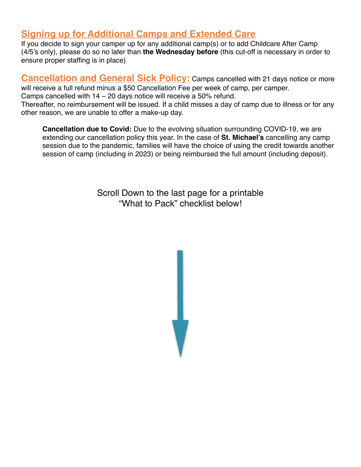# **Signing up for Additional Camps and Extended Care**

If you decide to sign your camper up for any additional camp(s) or to add Childcare After Camp (4/5's only), please do so no later than **the Wednesday before** (this cut-off is necessary in order to ensure proper staffing is in place)

**Cancellation and General Sick Policy:** Camps cancelled with 21 days notice or more will receive a full refund minus a \$50 Cancellation Fee per week of camp, per camper. Camps cancelled with 14 – 20 days notice will receive a 50% refund. Thereafter, no reimbursement will be issued. If a child misses a day of camp due to illness or for any other reason, we are unable to offer a make-up day.

**Cancellation due to Covid:** Due to the evolving situation surrounding COVID-19, we are extending our cancellation policy this year. In the case of **St. Michael's** cancelling any camp session due to the pandemic, families will have the choice of using the credit towards another session of camp (including in 2023) or being reimbursed the full amount (including deposit).

> Scroll Down to the last page for a printable "What to Pack" checklist below!